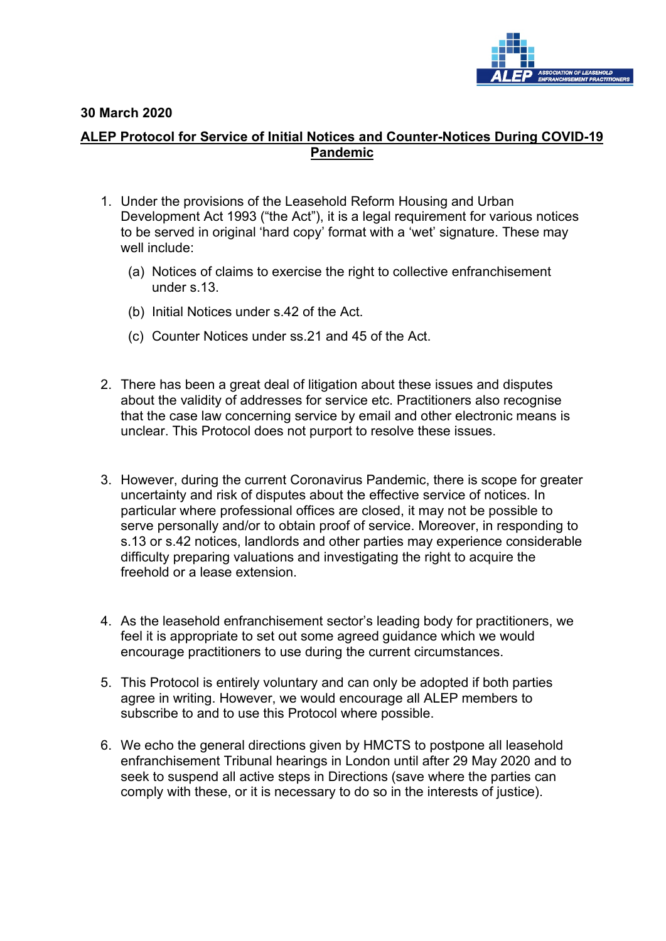

## **30 March 2020**

## **ALEP Protocol for Service of Initial Notices and Counter-Notices During COVID-19 Pandemic**

- 1. Under the provisions of the Leasehold Reform Housing and Urban Development Act 1993 ("the Act"), it is a legal requirement for various notices to be served in original 'hard copy' format with a 'wet' signature. These may well include:
	- (a) Notices of claims to exercise the right to collective enfranchisement under s.13.
	- (b) Initial Notices under s.42 of the Act.
	- (c) Counter Notices under ss.21 and 45 of the Act.
- 2. There has been a great deal of litigation about these issues and disputes about the validity of addresses for service etc. Practitioners also recognise that the case law concerning service by email and other electronic means is unclear. This Protocol does not purport to resolve these issues.
- 3. However, during the current Coronavirus Pandemic, there is scope for greater uncertainty and risk of disputes about the effective service of notices. In particular where professional offices are closed, it may not be possible to serve personally and/or to obtain proof of service. Moreover, in responding to s.13 or s.42 notices, landlords and other parties may experience considerable difficulty preparing valuations and investigating the right to acquire the freehold or a lease extension.
- 4. As the leasehold enfranchisement sector's leading body for practitioners, we feel it is appropriate to set out some agreed guidance which we would encourage practitioners to use during the current circumstances.
- 5. This Protocol is entirely voluntary and can only be adopted if both parties agree in writing. However, we would encourage all ALEP members to subscribe to and to use this Protocol where possible.
- 6. We echo the general directions given by HMCTS to postpone all leasehold enfranchisement Tribunal hearings in London until after 29 May 2020 and to seek to suspend all active steps in Directions (save where the parties can comply with these, or it is necessary to do so in the interests of justice).